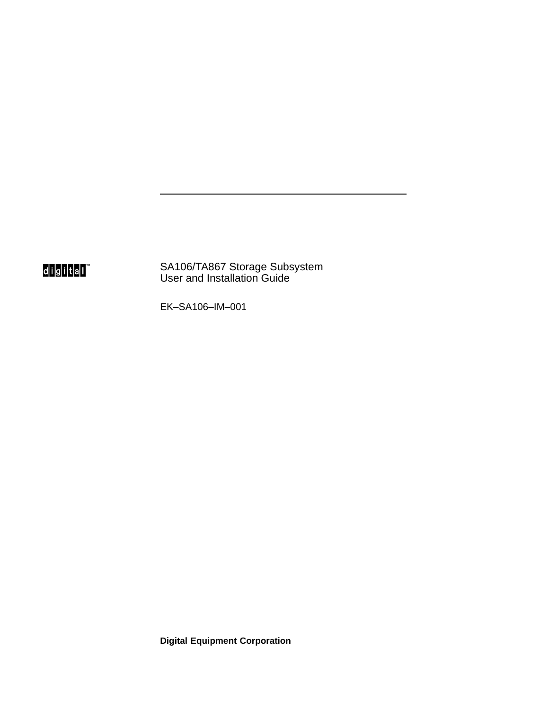digital<sup>"</sup>

SA106/TA867 Storage Subsystem User and Installation Guide

EK–SA106–IM–001

**Digital Equipment Corporation**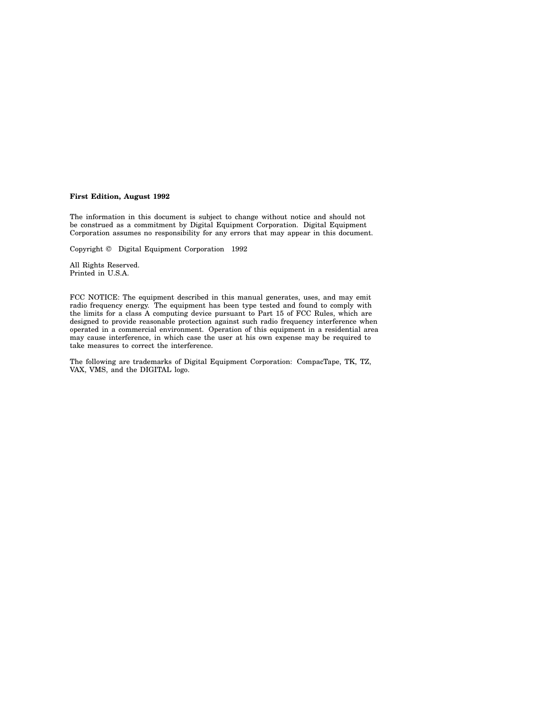#### **First Edition, August 1992**

The information in this document is subject to change without notice and should not be construed as a commitment by Digital Equipment Corporation. Digital Equipment Corporation assumes no responsibility for any errors that may appear in this document.

Copyright © Digital Equipment Corporation 1992

All Rights Reserved. Printed in U.S.A.

FCC NOTICE: The equipment described in this manual generates, uses, and may emit radio frequency energy. The equipment has been type tested and found to comply with the limits for a class A computing device pursuant to Part 15 of FCC Rules, which are designed to provide reasonable protection against such radio frequency interference when operated in a commercial environment. Operation of this equipment in a residential area may cause interference, in which case the user at his own expense may be required to take measures to correct the interference.

The following are trademarks of Digital Equipment Corporation: CompacTape, TK, TZ, VAX, VMS, and the DIGITAL logo.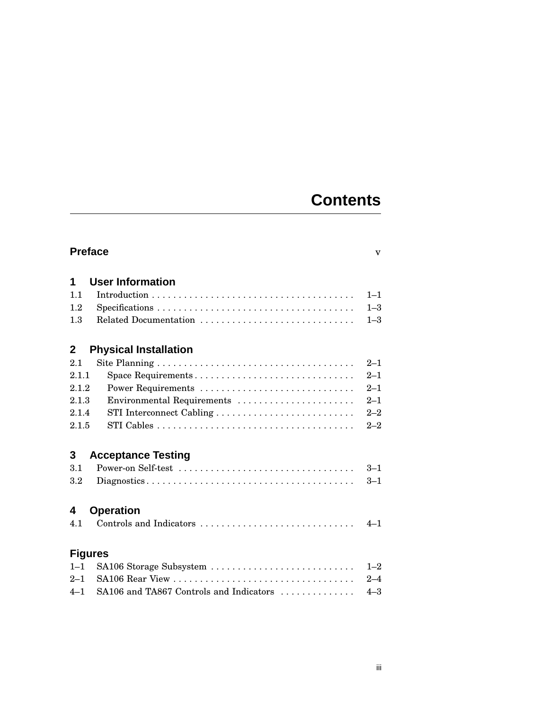## **Contents**

| <b>Preface</b><br>$\overline{\mathbf{V}}$ |                                                                                                      |         |  |  |
|-------------------------------------------|------------------------------------------------------------------------------------------------------|---------|--|--|
| 1                                         | <b>User Information</b>                                                                              |         |  |  |
| 1.1                                       |                                                                                                      | $1 - 1$ |  |  |
| 1.2                                       | $Specifications \ldots \ldots \ldots \ldots \ldots \ldots \ldots \ldots \ldots \ldots \ldots \ldots$ | $1 - 3$ |  |  |
| 1.3                                       | Related Documentation                                                                                | $1 - 3$ |  |  |
| $\mathbf{2}$                              | <b>Physical Installation</b>                                                                         |         |  |  |
| 2.1                                       |                                                                                                      | $2 - 1$ |  |  |
| 2.1.1                                     | Space Requirements                                                                                   | $2 - 1$ |  |  |
| 2.1.2                                     | Power Requirements                                                                                   | $2 - 1$ |  |  |
| 2.1.3                                     | Environmental Requirements                                                                           | $2 - 1$ |  |  |
| 2.1.4                                     |                                                                                                      | $2 - 2$ |  |  |
| 2.1.5                                     |                                                                                                      | $2 - 2$ |  |  |
| 3                                         | <b>Acceptance Testing</b>                                                                            |         |  |  |
| 3.1                                       | Power-on Self-test                                                                                   | $3 - 1$ |  |  |
| 3.2                                       |                                                                                                      | $3 - 1$ |  |  |
| <b>Operation</b><br>4                     |                                                                                                      |         |  |  |
| 4.1                                       | Controls and Indicators                                                                              | $4 - 1$ |  |  |
| <b>Figures</b>                            |                                                                                                      |         |  |  |
| $1 - 1$                                   | SA106 Storage Subsystem                                                                              | $1 - 2$ |  |  |
| $2 - 1$                                   |                                                                                                      | $2 - 4$ |  |  |
| $4 - 1$                                   | SA106 and TA867 Controls and Indicators                                                              | $4 - 3$ |  |  |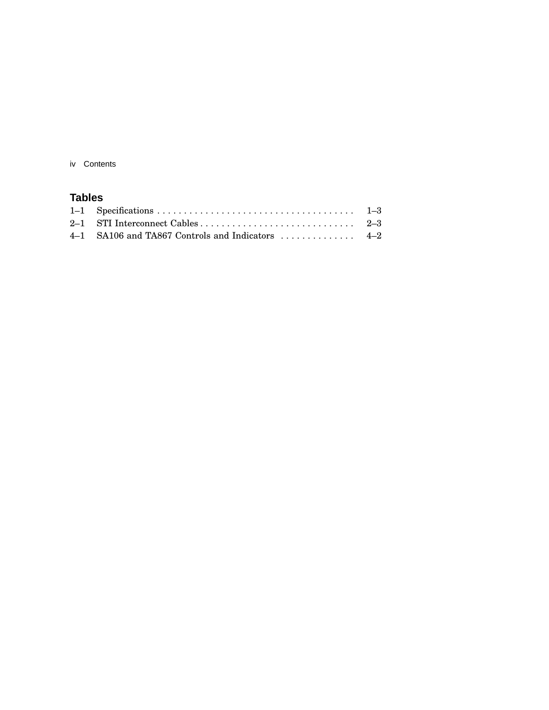iv Contents

### **Tables**

| $4-1$ SA106 and TA867 Controls and Indicators $4-2$ |  |
|-----------------------------------------------------|--|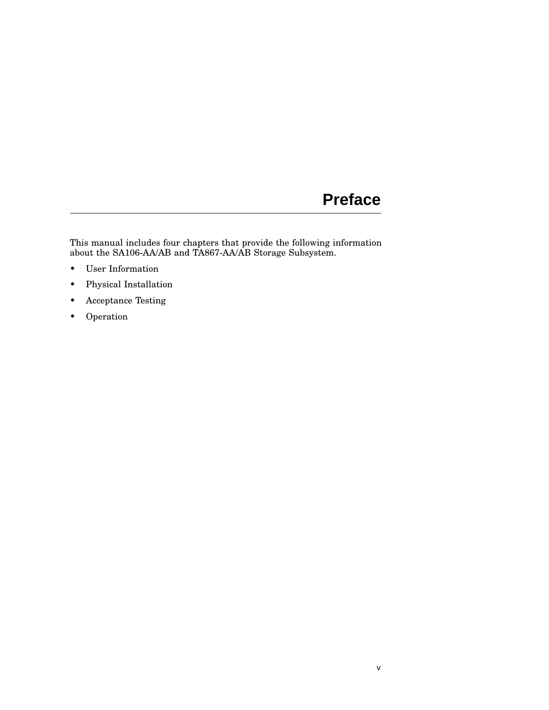## **Preface**

This manual includes four chapters that provide the following information about the SA106-AA/AB and TA867-AA/AB Storage Subsystem.

- User Information
- Physical Installation
- Acceptance Testing
- Operation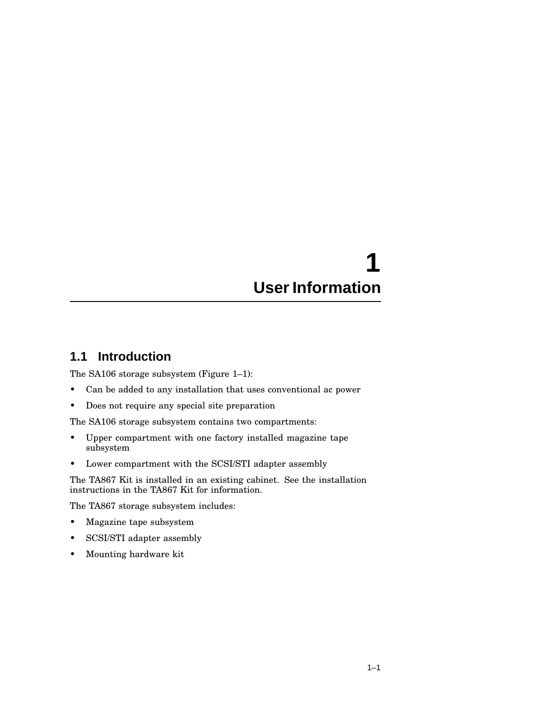## **1 User Information**

## **1.1 Introduction**

The SA106 storage subsystem (Figure 1–1):

- Can be added to any installation that uses conventional ac power
- Does not require any special site preparation

The SA106 storage subsystem contains two compartments:

- Upper compartment with one factory installed magazine tape subsystem
- Lower compartment with the SCSI/STI adapter assembly

The TA867 Kit is installed in an existing cabinet. See the installation instructions in the TA867 Kit for information.

The TA867 storage subsystem includes:

- Magazine tape subsystem
- SCSI/STI adapter assembly
- Mounting hardware kit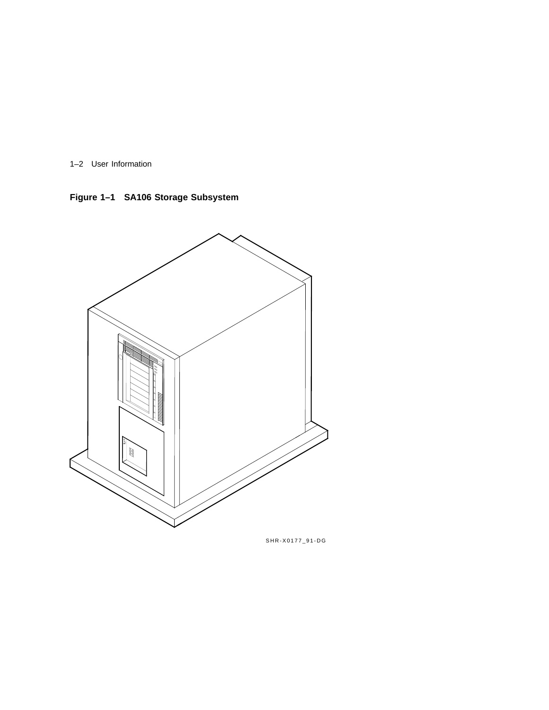1–2 User Information

**Figure 1–1 SA106 Storage Subsystem**



SHR-X0177\_91-DG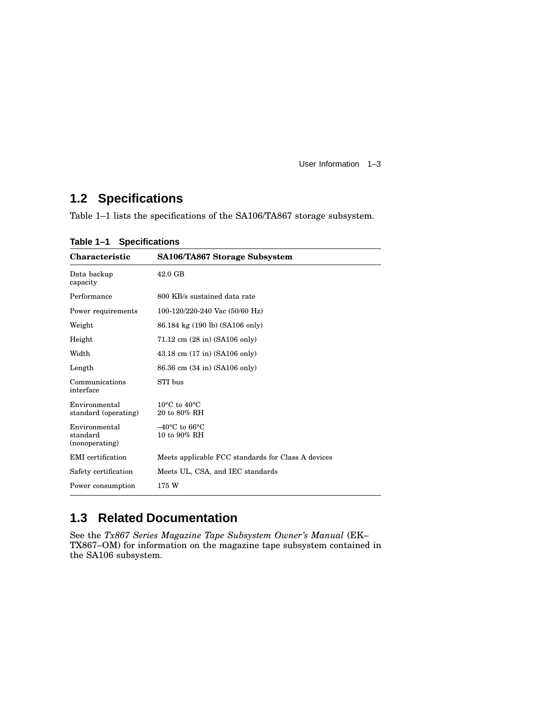User Information 1–3

## **1.2 Specifications**

Table 1–1 lists the specifications of the SA106/TA867 storage subsystem.

| <b>Characteristic</b>                       | SA106/TA867 Storage Subsystem                      |
|---------------------------------------------|----------------------------------------------------|
| Data backup<br>capacity                     | 42.0 GB                                            |
| Performance                                 | 800 KB/s sustained data rate                       |
| Power requirements                          | 100-120/220-240 Vac $(50/60 \text{ Hz})$           |
| Weight                                      | 86.184 kg (190 lb) (SA106 only)                    |
| Height                                      | 71.12 cm (28 in) (SA106 only)                      |
| Width                                       | $43.18$ cm $(17 \text{ in})$ (SA106 only)          |
| Length                                      | 86.36 cm (34 in) (SA106 only)                      |
| Communications<br>interface                 | STI bus                                            |
| Environmental<br>standard (operating)       | $10^{\circ}$ C to $40^{\circ}$ C<br>20 to 80% RH   |
| Environmental<br>standard<br>(nonoperating) | $-40^{\circ}$ C to 66 $^{\circ}$ C<br>10 to 90% RH |
| <b>EMI</b> certification                    | Meets applicable FCC standards for Class A devices |
| Safety certification                        | Meets UL, CSA, and IEC standards                   |
| Power consumption                           | 175 W                                              |

**Table 1–1 Specifications**

## **1.3 Related Documentation**

See the *Tx867 Series Magazine Tape Subsystem Owner's Manual* (EK– TX867–OM) for information on the magazine tape subsystem contained in the SA106 subsystem.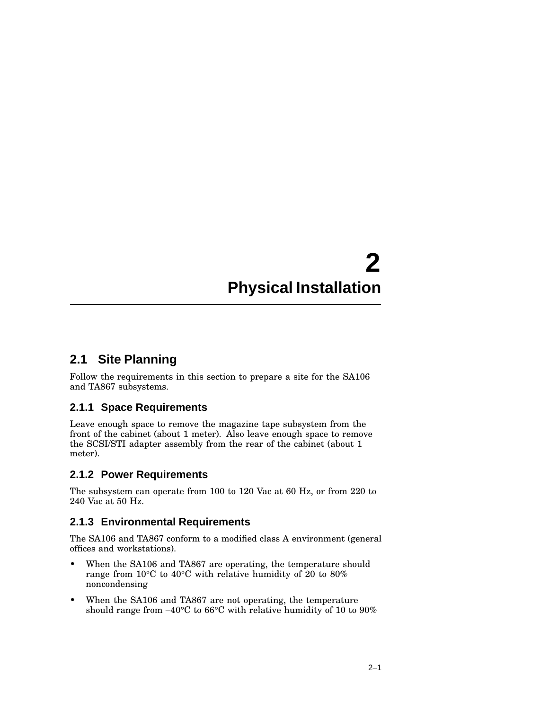# **2 Physical Installation**

## **2.1 Site Planning**

Follow the requirements in this section to prepare a site for the SA106 and TA867 subsystems.

#### **2.1.1 Space Requirements**

Leave enough space to remove the magazine tape subsystem from the front of the cabinet (about 1 meter). Also leave enough space to remove the SCSI/STI adapter assembly from the rear of the cabinet (about 1 meter).

#### **2.1.2 Power Requirements**

The subsystem can operate from 100 to 120 Vac at 60 Hz, or from 220 to 240 Vac at 50 Hz.

### **2.1.3 Environmental Requirements**

The SA106 and TA867 conform to a modified class A environment (general offices and workstations).

- When the SA106 and TA867 are operating, the temperature should range from 10°C to 40°C with relative humidity of 20 to 80% noncondensing
- When the SA106 and TA867 are not operating, the temperature should range from –40°C to 66°C with relative humidity of 10 to 90%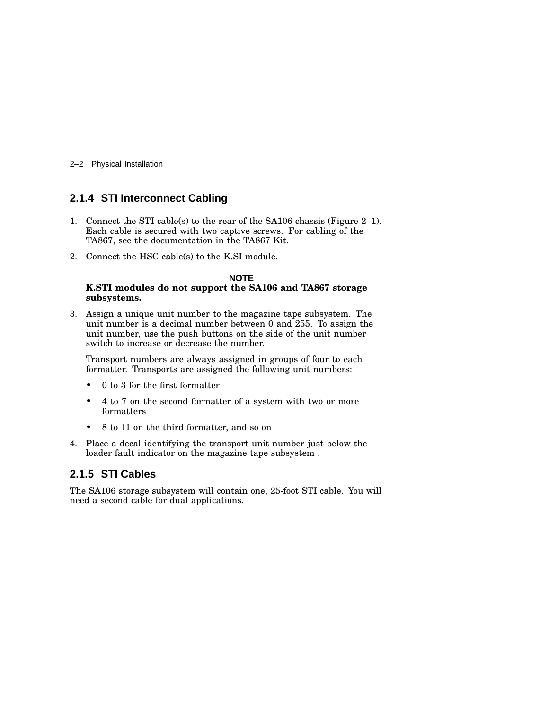2–2 Physical Installation

#### **2.1.4 STI Interconnect Cabling**

- 1. Connect the STI cable(s) to the rear of the SA106 chassis (Figure 2–1). Each cable is secured with two captive screws. For cabling of the TA867, see the documentation in the TA867 Kit.
- 2. Connect the HSC cable(s) to the K.SI module.

#### **NOTE**

#### **K.STI modules do not support the SA106 and TA867 storage subsystems.**

3. Assign a unique unit number to the magazine tape subsystem. The unit number is a decimal number between 0 and 255. To assign the unit number, use the push buttons on the side of the unit number switch to increase or decrease the number.

Transport numbers are always assigned in groups of four to each formatter. Transports are assigned the following unit numbers:

- 0 to 3 for the first formatter
- 4 to 7 on the second formatter of a system with two or more formatters
- 8 to 11 on the third formatter, and so on
- 4. Place a decal identifying the transport unit number just below the loader fault indicator on the magazine tape subsystem .

#### **2.1.5 STI Cables**

The SA106 storage subsystem will contain one, 25-foot STI cable. You will need a second cable for dual applications.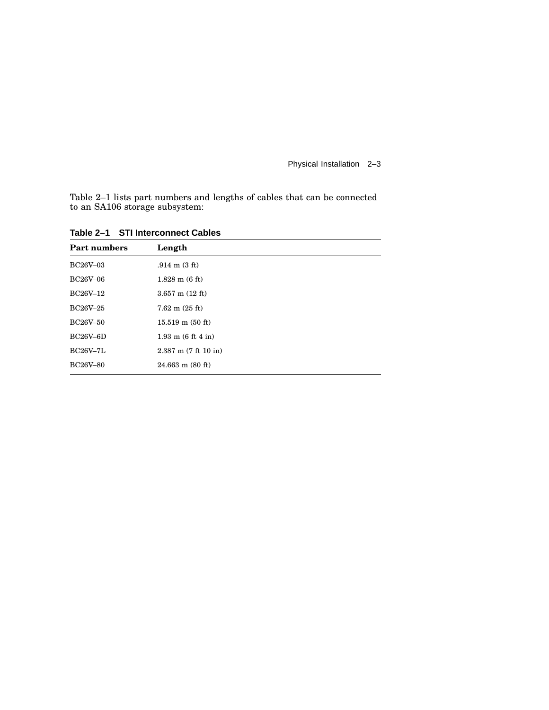Physical Installation 2–3

Table 2–1 lists part numbers and lengths of cables that can be connected to an SA106 storage subsystem:

| <b>Part numbers</b> | Length                             |
|---------------------|------------------------------------|
| <b>BC26V-03</b>     | $.914 \text{ m} (3 \text{ ft})$    |
| <b>BC26V-06</b>     | $1.828$ m $(6 \text{ ft})$         |
| BC26V-12            | $3.657$ m $(12 \text{ ft})$        |
| BC26V-25            | $7.62 \text{ m} (25 \text{ ft})$   |
| <b>BC26V-50</b>     | $15.519 \text{ m} (50 \text{ ft})$ |
| BC26V–6D            | $1.93 \text{ m}$ (6 ft 4 in)       |
| <b>BC26V-7L</b>     | $2.387$ m $(7 ft 10 in)$           |
| <b>BC26V-80</b>     | $24.663$ m $(80$ ft)               |

**Table 2–1 STI Interconnect Cables**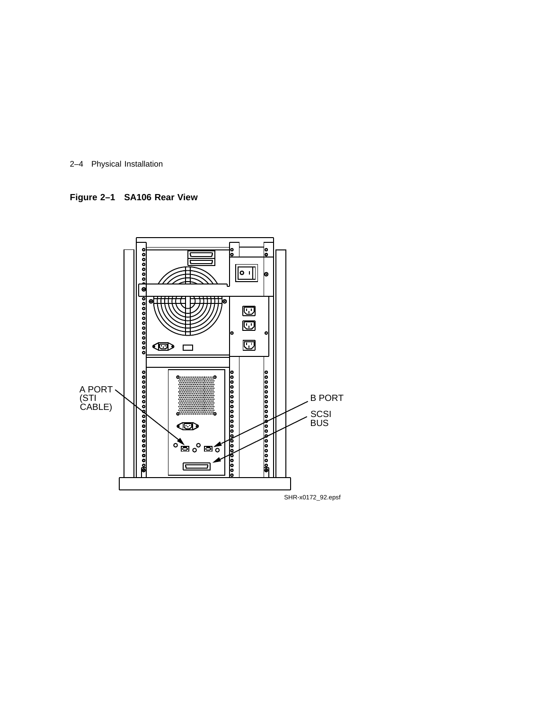

**Figure 2–1 SA106 Rear View**

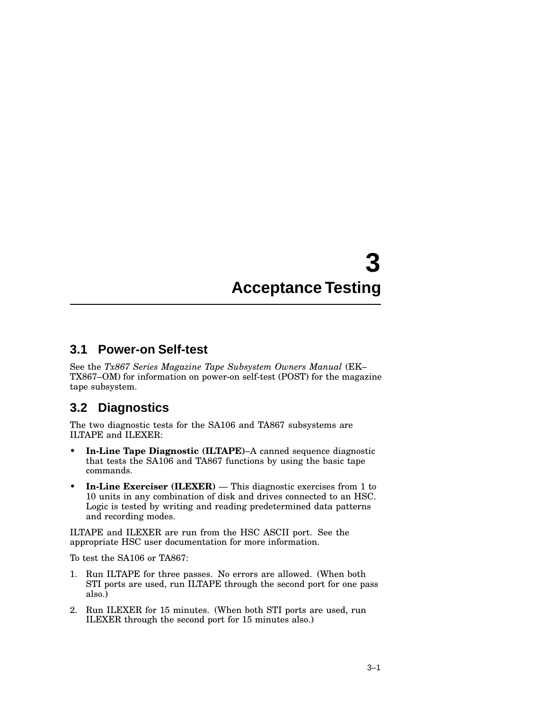# **3 Acceptance Testing**

#### **3.1 Power-on Self-test**

See the *Tx867 Series Magazine Tape Subsystem Owners Manual* (EK– TX867–OM) for information on power-on self-test (POST) for the magazine tape subsystem.

### **3.2 Diagnostics**

The two diagnostic tests for the SA106 and TA867 subsystems are ILTAPE and ILEXER:

- **In-Line Tape Diagnostic (ILTAPE)**–A canned sequence diagnostic that tests the SA106 and TA867 functions by using the basic tape commands.
- **In-Line Exerciser (ILEXER)** This diagnostic exercises from 1 to 10 units in any combination of disk and drives connected to an HSC. Logic is tested by writing and reading predetermined data patterns and recording modes.

ILTAPE and ILEXER are run from the HSC ASCII port. See the appropriate HSC user documentation for more information.

To test the SA106 or TA867:

- 1. Run ILTAPE for three passes. No errors are allowed. (When both STI ports are used, run ILTAPE through the second port for one pass also.)
- 2. Run ILEXER for 15 minutes. (When both STI ports are used, run ILEXER through the second port for 15 minutes also.)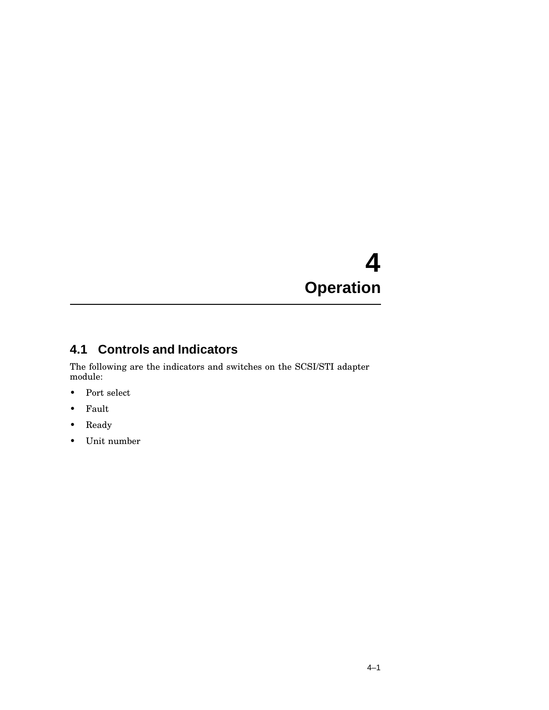# **4 Operation**

## **4.1 Controls and Indicators**

The following are the indicators and switches on the SCSI/STI adapter module:

- Port select
- Fault
- Ready
- Unit number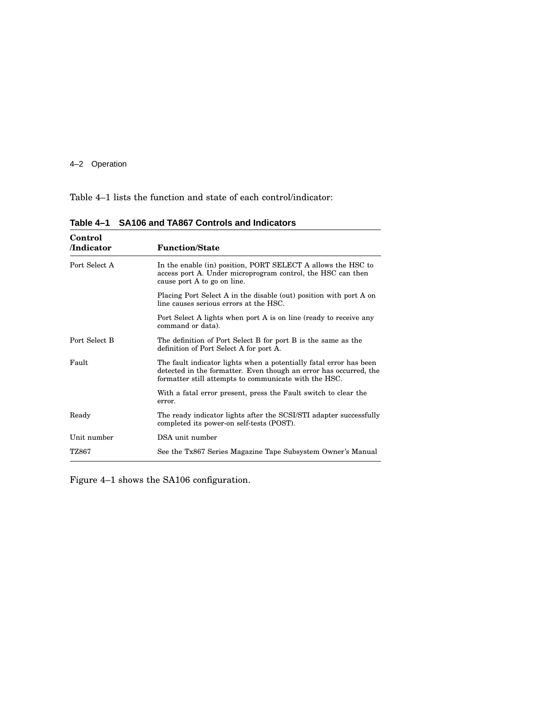#### 4–2 Operation

Table 4–1 lists the function and state of each control/indicator:

| Control       |                                                                                                                                                                                                  |
|---------------|--------------------------------------------------------------------------------------------------------------------------------------------------------------------------------------------------|
| /Indicator    | <b>Function/State</b>                                                                                                                                                                            |
| Port Select A | In the enable (in) position, PORT SELECT A allows the HSC to<br>access port A. Under microprogram control, the HSC can then<br>cause port A to go on line.                                       |
|               | Placing Port Select A in the disable (out) position with port A on<br>line causes serious errors at the HSC.                                                                                     |
|               | Port Select A lights when port A is on line (ready to receive any<br>command or data).                                                                                                           |
| Port Select B | The definition of Port Select B for port B is the same as the<br>definition of Port Select A for port A.                                                                                         |
| Fault         | The fault indicator lights when a potentially fatal error has been<br>detected in the formatter. Even though an error has occurred, the<br>formatter still attempts to communicate with the HSC. |
|               | With a fatal error present, press the Fault switch to clear the<br>error.                                                                                                                        |
| Ready         | The ready indicator lights after the SCSI/STI adapter successfully<br>completed its power-on self-tests (POST).                                                                                  |
| Unit number   | DSA unit number                                                                                                                                                                                  |
| TZ867         | See the Tx867 Series Magazine Tape Subsystem Owner's Manual                                                                                                                                      |

**Table 4–1 SA106 and TA867 Controls and Indicators**

Figure 4–1 shows the SA106 configuration.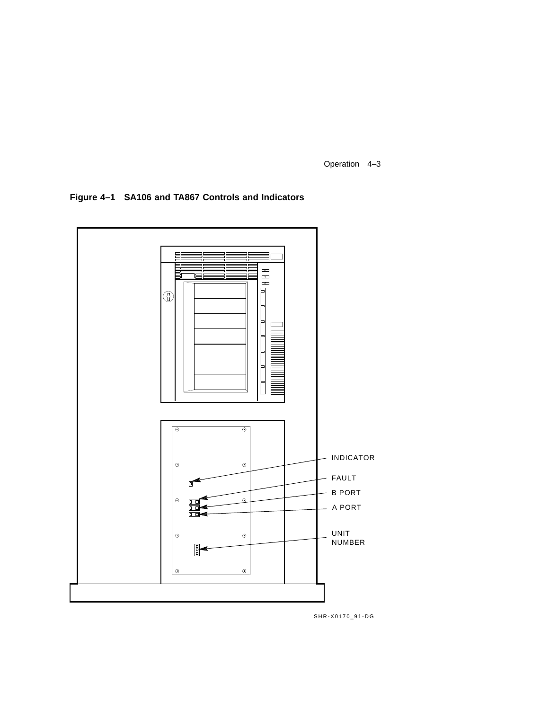Operation 4–3

**Figure 4–1 SA106 and TA867 Controls and Indicators**



SHR-X0170\_91-DG